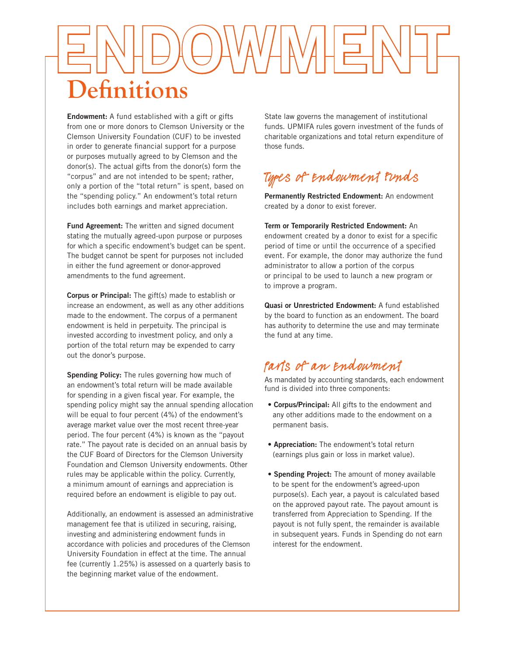# ENDOWMENT **Definitions**

Endowment: A fund established with a gift or gifts from one or more donors to Clemson University or the Clemson University Foundation (CUF) to be invested in order to generate financial support for a purpose or purposes mutually agreed to by Clemson and the donor(s). The actual gifts from the donor(s) form the "corpus" and are not intended to be spent; rather, only a portion of the "total return" is spent, based on the "spending policy." An endowment's total return includes both earnings and market appreciation.

Fund Agreement: The written and signed document stating the mutually agreed-upon purpose or purposes for which a specific endowment's budget can be spent. The budget cannot be spent for purposes not included in either the fund agreement or donor-approved amendments to the fund agreement.

Corpus or Principal: The gift(s) made to establish or increase an endowment, as well as any other additions made to the endowment. The corpus of a permanent endowment is held in perpetuity. The principal is invested according to investment policy, and only a portion of the total return may be expended to carry out the donor's purpose.

Spending Policy: The rules governing how much of an endowment's total return will be made available for spending in a given fiscal year. For example, the spending policy might say the annual spending allocation will be equal to four percent (4%) of the endowment's average market value over the most recent three-year period. The four percent (4%) is known as the "payout rate." The payout rate is decided on an annual basis by the CUF Board of Directors for the Clemson University Foundation and Clemson University endowments. Other rules may be applicable within the policy. Currently, a minimum amount of earnings and appreciation is required before an endowment is eligible to pay out.

Additionally, an endowment is assessed an administrative management fee that is utilized in securing, raising, investing and administering endowment funds in accordance with policies and procedures of the Clemson University Foundation in effect at the time. The annual fee (currently 1.25%) is assessed on a quarterly basis to the beginning market value of the endowment.

State law governs the management of institutional funds. UPMIFA rules govern investment of the funds of charitable organizations and total return expenditure of those funds.

## Types of Endowment Funds

Permanently Restricted Endowment: An endowment created by a donor to exist forever.

Term or Temporarily Restricted Endowment: An endowment created by a donor to exist for a specific period of time or until the occurrence of a specified event. For example, the donor may authorize the fund administrator to allow a portion of the corpus or principal to be used to launch a new program or to improve a program.

Quasi or Unrestricted Endowment: A fund established by the board to function as an endowment. The board has authority to determine the use and may terminate the fund at any time.

### Parts of an Endowment

As mandated by accounting standards, each endowment fund is divided into three components:

- Corpus/Principal: All gifts to the endowment and any other additions made to the endowment on a permanent basis.
- Appreciation: The endowment's total return (earnings plus gain or loss in market value).
- Spending Project: The amount of money available to be spent for the endowment's agreed-upon purpose(s). Each year, a payout is calculated based on the approved payout rate. The payout amount is transferred from Appreciation to Spending. If the payout is not fully spent, the remainder is available in subsequent years. Funds in Spending do not earn interest for the endowment.